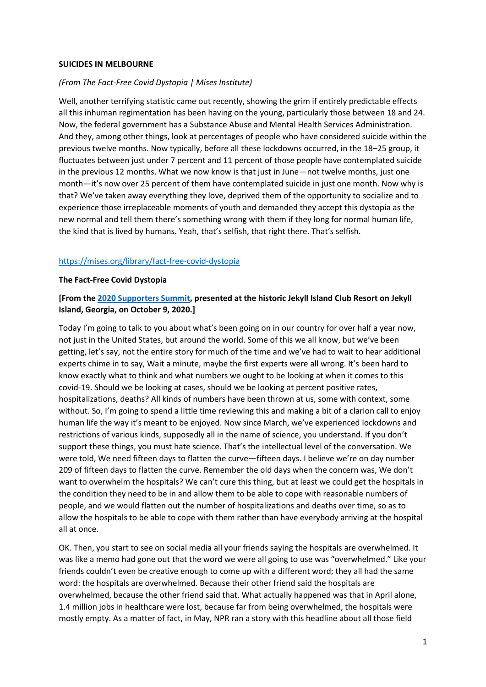### **SUICIDES IN MELBOURNE**

## *(From The Fact-Free Covid Dystopia | Mises Institute)*

Well, another terrifying statistic came out recently, showing the grim if entirely predictable effects all this inhuman regimentation has been having on the young, particularly those between 18 and 24. Now, the federal government has a Substance Abuse and Mental Health Services Administration. And they, among other things, look at percentages of people who have considered suicide within the previous twelve months. Now typically, before all these lockdowns occurred, in the 18–25 group, it fluctuates between just under 7 percent and 11 percent of those people have contemplated suicide in the previous 12 months. What we now know is that just in June—not twelve months, just one month—it's now over 25 percent of them have contemplated suicide in just one month. Now why is that? We've taken away everything they love, deprived them of the opportunity to socialize and to experience those irreplaceable moments of youth and demanded they accept this dystopia as the new normal and tell them there's something wrong with them if they long for normal human life, the kind that is lived by humans. Yeah, that's selfish, that right there. That's selfish.

## <https://mises.org/library/fact-free-covid-dystopia>

#### **The Fact-Free Covid Dystopia**

## **[From the [2020 Supporters Summit,](https://mises.org/library/2020-supporters-summit) presented at the historic Jekyll Island Club Resort on Jekyll Island, Georgia, on October 9, 2020.]**

Today I'm going to talk to you about what's been going on in our country for over half a year now, not just in the United States, but around the world. Some of this we all know, but we've been getting, let's say, not the entire story for much of the time and we've had to wait to hear additional experts chime in to say, Wait a minute, maybe the first experts were all wrong. It's been hard to know exactly what to think and what numbers we ought to be looking at when it comes to this covid-19. Should we be looking at cases, should we be looking at percent positive rates, hospitalizations, deaths? All kinds of numbers have been thrown at us, some with context, some without. So, I'm going to spend a little time reviewing this and making a bit of a clarion call to enjoy human life the way it's meant to be enjoyed. Now since March, we've experienced lockdowns and restrictions of various kinds, supposedly all in the name of science, you understand. If you don't support these things, you must hate science. That's the intellectual level of the conversation. We were told, We need fifteen days to flatten the curve—fifteen days. I believe we're on day number 209 of fifteen days to flatten the curve. Remember the old days when the concern was, We don't want to overwhelm the hospitals? We can't cure this thing, but at least we could get the hospitals in the condition they need to be in and allow them to be able to cope with reasonable numbers of people, and we would flatten out the number of hospitalizations and deaths over time, so as to allow the hospitals to be able to cope with them rather than have everybody arriving at the hospital all at once.

OK. Then, you start to see on social media all your friends saying the hospitals are overwhelmed. It was like a memo had gone out that the word we were all going to use was "overwhelmed." Like your friends couldn't even be creative enough to come up with a different word; they all had the same word: the hospitals are overwhelmed. Because their other friend said the hospitals are overwhelmed, because the other friend said that. What actually happened was that in April alone, 1.4 million jobs in healthcare were lost, because far from being overwhelmed, the hospitals were mostly empty. As a matter of fact, in May, NPR ran a story with this headline about all those field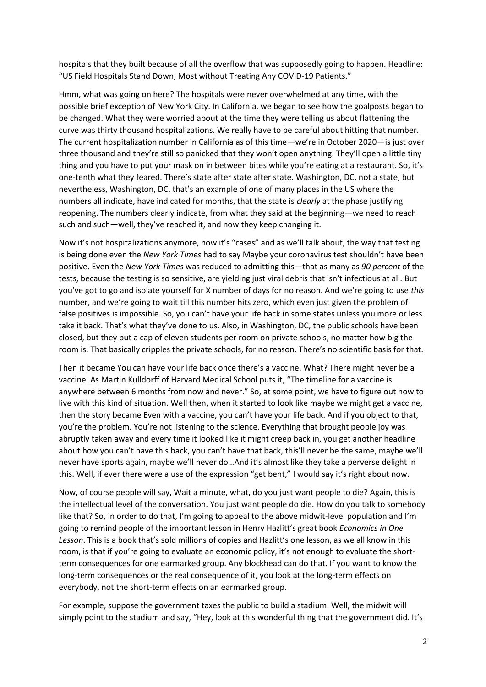hospitals that they built because of all the overflow that was supposedly going to happen. Headline: "US Field Hospitals Stand Down, Most without Treating Any COVID-19 Patients."

Hmm, what was going on here? The hospitals were never overwhelmed at any time, with the possible brief exception of New York City. In California, we began to see how the goalposts began to be changed. What they were worried about at the time they were telling us about flattening the curve was thirty thousand hospitalizations. We really have to be careful about hitting that number. The current hospitalization number in California as of this time—we're in October 2020—is just over three thousand and they're still so panicked that they won't open anything. They'll open a little tiny thing and you have to put your mask on in between bites while you're eating at a restaurant. So, it's one-tenth what they feared. There's state after state after state. Washington, DC, not a state, but nevertheless, Washington, DC, that's an example of one of many places in the US where the numbers all indicate, have indicated for months, that the state is *clearly* at the phase justifying reopening. The numbers clearly indicate, from what they said at the beginning—we need to reach such and such—well, they've reached it, and now they keep changing it.

Now it's not hospitalizations anymore, now it's "cases" and as we'll talk about, the way that testing is being done even the *New York Times* had to say Maybe your coronavirus test shouldn't have been positive. Even the *New York Times* was reduced to admitting this—that as many as *90 percent* of the tests, because the testing is so sensitive, are yielding just viral debris that isn't infectious at all. But you've got to go and isolate yourself for X number of days for no reason. And we're going to use *this* number, and we're going to wait till this number hits zero, which even just given the problem of false positives is impossible. So, you can't have your life back in some states unless you more or less take it back. That's what they've done to us. Also, in Washington, DC, the public schools have been closed, but they put a cap of eleven students per room on private schools, no matter how big the room is. That basically cripples the private schools, for no reason. There's no scientific basis for that.

Then it became You can have your life back once there's a vaccine. What? There might never be a vaccine. As Martin Kulldorff of Harvard Medical School puts it, "The timeline for a vaccine is anywhere between 6 months from now and never." So, at some point, we have to figure out how to live with this kind of situation. Well then, when it started to look like maybe we might get a vaccine, then the story became Even with a vaccine, you can't have your life back. And if you object to that, you're the problem. You're not listening to the science. Everything that brought people joy was abruptly taken away and every time it looked like it might creep back in, you get another headline about how you can't have this back, you can't have that back, this'll never be the same, maybe we'll never have sports again, maybe we'll never do…And it's almost like they take a perverse delight in this. Well, if ever there were a use of the expression "get bent," I would say it's right about now.

Now, of course people will say, Wait a minute, what, do you just want people to die? Again, this is the intellectual level of the conversation. You just want people do die. How do you talk to somebody like that? So, in order to do that, I'm going to appeal to the above midwit-level population and I'm going to remind people of the important lesson in Henry Hazlitt's great book *Economics in One Lesson*. This is a book that's sold millions of copies and Hazlitt's one lesson, as we all know in this room, is that if you're going to evaluate an economic policy, it's not enough to evaluate the shortterm consequences for one earmarked group. Any blockhead can do that. If you want to know the long-term consequences or the real consequence of it, you look at the long-term effects on everybody, not the short-term effects on an earmarked group.

For example, suppose the government taxes the public to build a stadium. Well, the midwit will simply point to the stadium and say, "Hey, look at this wonderful thing that the government did. It's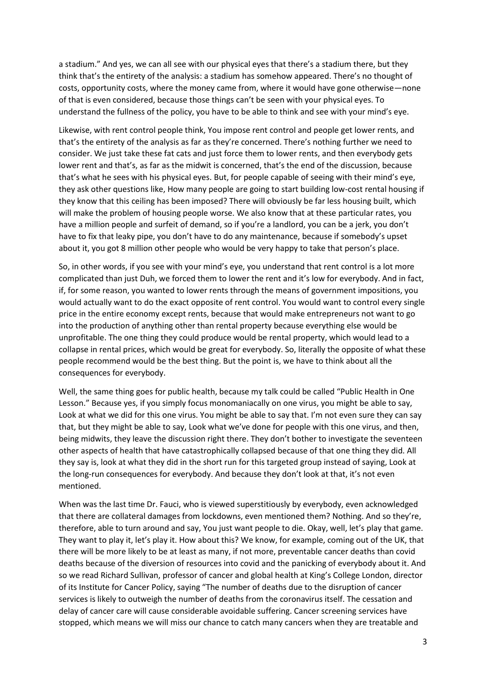a stadium." And yes, we can all see with our physical eyes that there's a stadium there, but they think that's the entirety of the analysis: a stadium has somehow appeared. There's no thought of costs, opportunity costs, where the money came from, where it would have gone otherwise—none of that is even considered, because those things can't be seen with your physical eyes. To understand the fullness of the policy, you have to be able to think and see with your mind's eye.

Likewise, with rent control people think, You impose rent control and people get lower rents, and that's the entirety of the analysis as far as they're concerned. There's nothing further we need to consider. We just take these fat cats and just force them to lower rents, and then everybody gets lower rent and that's, as far as the midwit is concerned, that's the end of the discussion, because that's what he sees with his physical eyes. But, for people capable of seeing with their mind's eye, they ask other questions like, How many people are going to start building low-cost rental housing if they know that this ceiling has been imposed? There will obviously be far less housing built, which will make the problem of housing people worse. We also know that at these particular rates, you have a million people and surfeit of demand, so if you're a landlord, you can be a jerk, you don't have to fix that leaky pipe, you don't have to do any maintenance, because if somebody's upset about it, you got 8 million other people who would be very happy to take that person's place.

So, in other words, if you see with your mind's eye, you understand that rent control is a lot more complicated than just Duh, we forced them to lower the rent and it's low for everybody. And in fact, if, for some reason, you wanted to lower rents through the means of government impositions, you would actually want to do the exact opposite of rent control. You would want to control every single price in the entire economy except rents, because that would make entrepreneurs not want to go into the production of anything other than rental property because everything else would be unprofitable. The one thing they could produce would be rental property, which would lead to a collapse in rental prices, which would be great for everybody. So, literally the opposite of what these people recommend would be the best thing. But the point is, we have to think about all the consequences for everybody.

Well, the same thing goes for public health, because my talk could be called "Public Health in One Lesson." Because yes, if you simply focus monomaniacally on one virus, you might be able to say, Look at what we did for this one virus. You might be able to say that. I'm not even sure they can say that, but they might be able to say, Look what we've done for people with this one virus, and then, being midwits, they leave the discussion right there. They don't bother to investigate the seventeen other aspects of health that have catastrophically collapsed because of that one thing they did. All they say is, look at what they did in the short run for this targeted group instead of saying, Look at the long-run consequences for everybody. And because they don't look at that, it's not even mentioned.

When was the last time Dr. Fauci, who is viewed superstitiously by everybody, even acknowledged that there are collateral damages from lockdowns, even mentioned them? Nothing. And so they're, therefore, able to turn around and say, You just want people to die. Okay, well, let's play that game. They want to play it, let's play it. How about this? We know, for example, coming out of the UK, that there will be more likely to be at least as many, if not more, preventable cancer deaths than covid deaths because of the diversion of resources into covid and the panicking of everybody about it. And so we read Richard Sullivan, professor of cancer and global health at King's College London, director of its Institute for Cancer Policy, saying "The number of deaths due to the disruption of cancer services is likely to outweigh the number of deaths from the coronavirus itself. The cessation and delay of cancer care will cause considerable avoidable suffering. Cancer screening services have stopped, which means we will miss our chance to catch many cancers when they are treatable and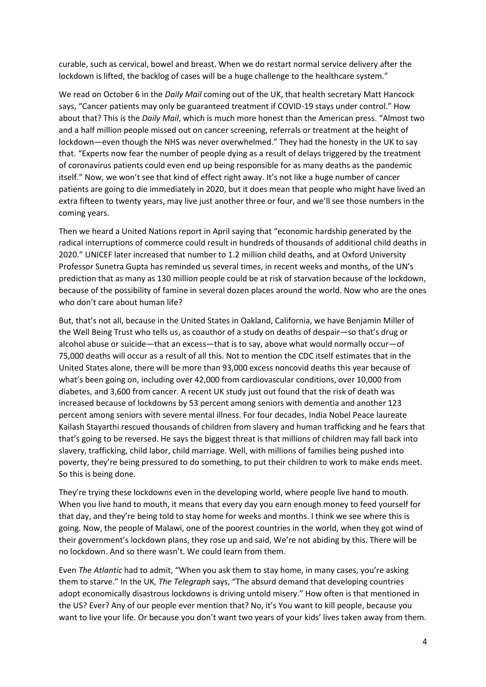curable, such as cervical, bowel and breast. When we do restart normal service delivery after the lockdown is lifted, the backlog of cases will be a huge challenge to the healthcare system."

We read on October 6 in the *Daily Mail* coming out of the UK, that health secretary Matt Hancock says, "Cancer patients may only be guaranteed treatment if COVID-19 stays under control." How about that? This is the *Daily Mail*, which is much more honest than the American press. "Almost two and a half million people missed out on cancer screening, referrals or treatment at the height of lockdown—even though the NHS was never overwhelmed." They had the honesty in the UK to say that. "Experts now fear the number of people dying as a result of delays triggered by the treatment of coronavirus patients could even end up being responsible for as many deaths as the pandemic itself." Now, we won't see that kind of effect right away. It's not like a huge number of cancer patients are going to die immediately in 2020, but it does mean that people who might have lived an extra fifteen to twenty years, may live just another three or four, and we'll see those numbers in the coming years.

Then we heard a United Nations report in April saying that "economic hardship generated by the radical interruptions of commerce could result in hundreds of thousands of additional child deaths in 2020." UNICEF later increased that number to 1.2 million child deaths, and at Oxford University Professor Sunetra Gupta has reminded us several times, in recent weeks and months, of the UN's prediction that as many as 130 million people could be at risk of starvation because of the lockdown, because of the possibility of famine in several dozen places around the world. Now who are the ones who don't care about human life?

But, that's not all, because in the United States in Oakland, California, we have Benjamin Miller of the Well Being Trust who tells us, as coauthor of a study on deaths of despair—so that's drug or alcohol abuse or suicide—that an excess—that is to say, above what would normally occur—of 75,000 deaths will occur as a result of all this. Not to mention the CDC itself estimates that in the United States alone, there will be more than 93,000 excess noncovid deaths this year because of what's been going on, including over 42,000 from cardiovascular conditions, over 10,000 from diabetes, and 3,600 from cancer. A recent UK study just out found that the risk of death was increased because of lockdowns by 53 percent among seniors with dementia and another 123 percent among seniors with severe mental illness. For four decades, India Nobel Peace laureate Kailash Stayarthi rescued thousands of children from slavery and human trafficking and he fears that that's going to be reversed. He says the biggest threat is that millions of children may fall back into slavery, trafficking, child labor, child marriage. Well, with millions of families being pushed into poverty, they're being pressured to do something, to put their children to work to make ends meet. So this is being done.

They're trying these lockdowns even in the developing world, where people live hand to mouth. When you live hand to mouth, it means that every day you earn enough money to feed yourself for that day, and they're being told to stay home for weeks and months. I think we see where this is going. Now, the people of Malawi, one of the poorest countries in the world, when they got wind of their government's lockdown plans, they rose up and said, We're not abiding by this. There will be no lockdown. And so there wasn't. We could learn from them.

Even *The Atlantic* had to admit, "When you ask them to stay home, in many cases, you're asking them to starve." In the UK, *The Telegraph* says, "The absurd demand that developing countries adopt economically disastrous lockdowns is driving untold misery." How often is that mentioned in the US? Ever? Any of our people ever mention that? No, it's You want to kill people, because you want to live your life. Or because you don't want two years of your kids' lives taken away from them.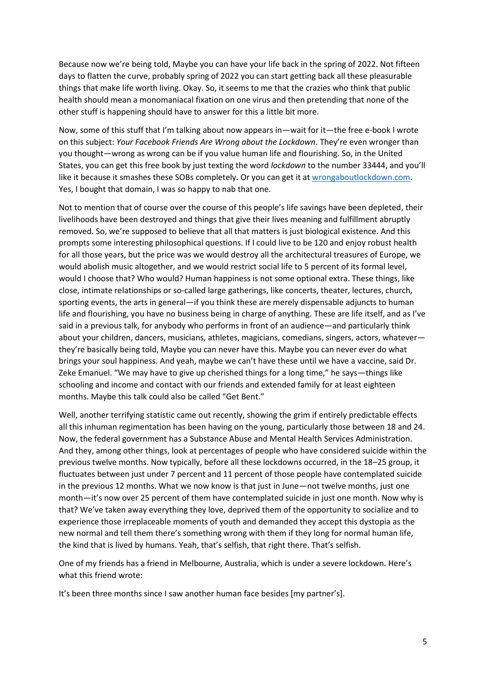Because now we're being told, Maybe you can have your life back in the spring of 2022. Not fifteen days to flatten the curve, probably spring of 2022 you can start getting back all these pleasurable things that make life worth living. Okay. So, it seems to me that the crazies who think that public health should mean a monomaniacal fixation on one virus and then pretending that none of the other stuff is happening should have to answer for this a little bit more.

Now, some of this stuff that I'm talking about now appears in—wait for it—the free e-book I wrote on this subject: *Your Facebook Friends Are Wrong about the Lockdown*. They're even wronger than you thought—wrong as wrong can be if you value human life and flourishing. So, in the United States, you can get this free book by just texting the word *lockdown* to the number 33444, and you'll like it because it smashes these SOBs completely. Or you can get it at [wrongaboutlockdown.com.](http://wrongaboutlockdown.com/) Yes, I bought that domain, I was so happy to nab that one.

Not to mention that of course over the course of this people's life savings have been depleted, their livelihoods have been destroyed and things that give their lives meaning and fulfillment abruptly removed. So, we're supposed to believe that all that matters is just biological existence. And this prompts some interesting philosophical questions. If I could live to be 120 and enjoy robust health for all those years, but the price was we would destroy all the architectural treasures of Europe, we would abolish music altogether, and we would restrict social life to 5 percent of its formal level, would I choose that? Who would? Human happiness is not some optional extra. These things, like close, intimate relationships or so-called large gatherings, like concerts, theater, lectures, church, sporting events, the arts in general—if you think these are merely dispensable adjuncts to human life and flourishing, you have no business being in charge of anything. These are life itself, and as I've said in a previous talk, for anybody who performs in front of an audience—and particularly think about your children, dancers, musicians, athletes, magicians, comedians, singers, actors, whatever they're basically being told, Maybe you can never have this. Maybe you can never ever do what brings your soul happiness. And yeah, maybe we can't have these until we have a vaccine, said Dr. Zeke Emanuel. "We may have to give up cherished things for a long time," he says—things like schooling and income and contact with our friends and extended family for at least eighteen months. Maybe this talk could also be called "Get Bent."

Well, another terrifying statistic came out recently, showing the grim if entirely predictable effects all this inhuman regimentation has been having on the young, particularly those between 18 and 24. Now, the federal government has a Substance Abuse and Mental Health Services Administration. And they, among other things, look at percentages of people who have considered suicide within the previous twelve months. Now typically, before all these lockdowns occurred, in the 18–25 group, it fluctuates between just under 7 percent and 11 percent of those people have contemplated suicide in the previous 12 months. What we now know is that just in June—not twelve months, just one month—it's now over 25 percent of them have contemplated suicide in just one month. Now why is that? We've taken away everything they love, deprived them of the opportunity to socialize and to experience those irreplaceable moments of youth and demanded they accept this dystopia as the new normal and tell them there's something wrong with them if they long for normal human life, the kind that is lived by humans. Yeah, that's selfish, that right there. That's selfish.

One of my friends has a friend in Melbourne, Australia, which is under a severe lockdown. Here's what this friend wrote:

It's been three months since I saw another human face besides [my partner's].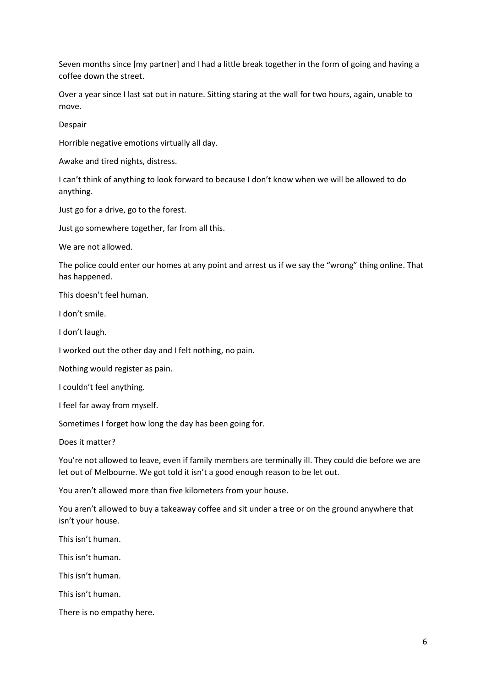Seven months since [my partner] and I had a little break together in the form of going and having a coffee down the street.

Over a year since I last sat out in nature. Sitting staring at the wall for two hours, again, unable to move.

Despair

Horrible negative emotions virtually all day.

Awake and tired nights, distress.

I can't think of anything to look forward to because I don't know when we will be allowed to do anything.

Just go for a drive, go to the forest.

Just go somewhere together, far from all this.

We are not allowed.

The police could enter our homes at any point and arrest us if we say the "wrong" thing online. That has happened.

This doesn't feel human.

I don't smile.

I don't laugh.

I worked out the other day and I felt nothing, no pain.

Nothing would register as pain.

I couldn't feel anything.

I feel far away from myself.

Sometimes I forget how long the day has been going for.

Does it matter?

You're not allowed to leave, even if family members are terminally ill. They could die before we are let out of Melbourne. We got told it isn't a good enough reason to be let out.

You aren't allowed more than five kilometers from your house.

You aren't allowed to buy a takeaway coffee and sit under a tree or on the ground anywhere that isn't your house.

This isn't human.

This isn't human.

This isn't human.

This isn't human.

There is no empathy here.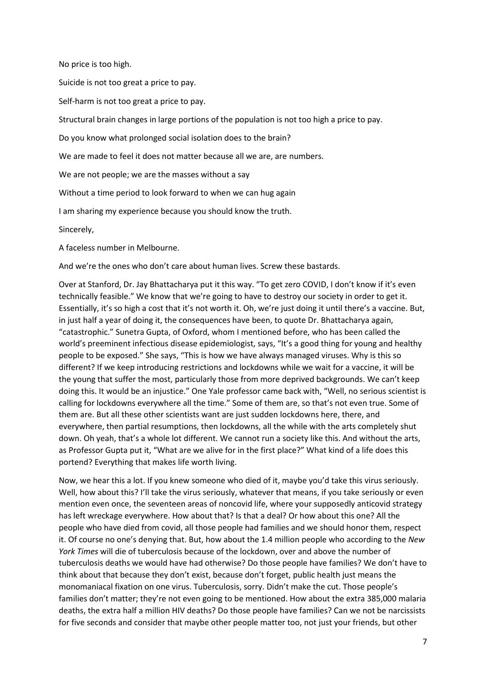No price is too high.

Suicide is not too great a price to pay.

Self-harm is not too great a price to pay.

Structural brain changes in large portions of the population is not too high a price to pay.

Do you know what prolonged social isolation does to the brain?

We are made to feel it does not matter because all we are, are numbers.

We are not people; we are the masses without a say

Without a time period to look forward to when we can hug again

I am sharing my experience because you should know the truth.

Sincerely,

A faceless number in Melbourne.

And we're the ones who don't care about human lives. Screw these bastards.

Over at Stanford, Dr. Jay Bhattacharya put it this way. "To get zero COVID, I don't know if it's even technically feasible." We know that we're going to have to destroy our society in order to get it. Essentially, it's so high a cost that it's not worth it. Oh, we're just doing it until there's a vaccine. But, in just half a year of doing it, the consequences have been, to quote Dr. Bhattacharya again, "catastrophic." Sunetra Gupta, of Oxford, whom I mentioned before, who has been called the world's preeminent infectious disease epidemiologist, says, "It's a good thing for young and healthy people to be exposed." She says, "This is how we have always managed viruses. Why is this so different? If we keep introducing restrictions and lockdowns while we wait for a vaccine, it will be the young that suffer the most, particularly those from more deprived backgrounds. We can't keep doing this. It would be an injustice." One Yale professor came back with, "Well, no serious scientist is calling for lockdowns everywhere all the time." Some of them are, so that's not even true. Some of them are. But all these other scientists want are just sudden lockdowns here, there, and everywhere, then partial resumptions, then lockdowns, all the while with the arts completely shut down. Oh yeah, that's a whole lot different. We cannot run a society like this. And without the arts, as Professor Gupta put it, "What are we alive for in the first place?" What kind of a life does this portend? Everything that makes life worth living.

Now, we hear this a lot. If you knew someone who died of it, maybe you'd take this virus seriously. Well, how about this? I'll take the virus seriously, whatever that means, if you take seriously or even mention even once, the seventeen areas of noncovid life, where your supposedly anticovid strategy has left wreckage everywhere. How about that? Is that a deal? Or how about this one? All the people who have died from covid, all those people had families and we should honor them, respect it. Of course no one's denying that. But, how about the 1.4 million people who according to the *New York Times* will die of tuberculosis because of the lockdown, over and above the number of tuberculosis deaths we would have had otherwise? Do those people have families? We don't have to think about that because they don't exist, because don't forget, public health just means the monomaniacal fixation on one virus. Tuberculosis, sorry. Didn't make the cut. Those people's families don't matter; they're not even going to be mentioned. How about the extra 385,000 malaria deaths, the extra half a million HIV deaths? Do those people have families? Can we not be narcissists for five seconds and consider that maybe other people matter too, not just your friends, but other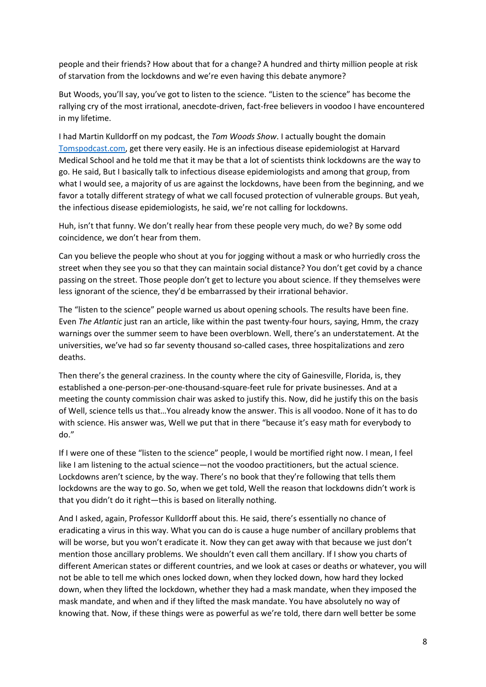people and their friends? How about that for a change? A hundred and thirty million people at risk of starvation from the lockdowns and we're even having this debate anymore?

But Woods, you'll say, you've got to listen to the science. "Listen to the science" has become the rallying cry of the most irrational, anecdote-driven, fact-free believers in voodoo I have encountered in my lifetime.

I had Martin Kulldorff on my podcast, the *Tom Woods Show*. I actually bought the domain [Tomspodcast.com,](http://tomspodcast.com/) get there very easily. He is an infectious disease epidemiologist at Harvard Medical School and he told me that it may be that a lot of scientists think lockdowns are the way to go. He said, But I basically talk to infectious disease epidemiologists and among that group, from what I would see, a majority of us are against the lockdowns, have been from the beginning, and we favor a totally different strategy of what we call focused protection of vulnerable groups. But yeah, the infectious disease epidemiologists, he said, we're not calling for lockdowns.

Huh, isn't that funny. We don't really hear from these people very much, do we? By some odd coincidence, we don't hear from them.

Can you believe the people who shout at you for jogging without a mask or who hurriedly cross the street when they see you so that they can maintain social distance? You don't get covid by a chance passing on the street. Those people don't get to lecture you about science. If they themselves were less ignorant of the science, they'd be embarrassed by their irrational behavior.

The "listen to the science" people warned us about opening schools. The results have been fine. Even *The Atlantic* just ran an article, like within the past twenty-four hours, saying, Hmm, the crazy warnings over the summer seem to have been overblown. Well, there's an understatement. At the universities, we've had so far seventy thousand so-called cases, three hospitalizations and zero deaths.

Then there's the general craziness. In the county where the city of Gainesville, Florida, is, they established a one-person-per-one-thousand-square-feet rule for private businesses. And at a meeting the county commission chair was asked to justify this. Now, did he justify this on the basis of Well, science tells us that…You already know the answer. This is all voodoo. None of it has to do with science. His answer was, Well we put that in there "because it's easy math for everybody to do."

If I were one of these "listen to the science" people, I would be mortified right now. I mean, I feel like I am listening to the actual science—not the voodoo practitioners, but the actual science. Lockdowns aren't science, by the way. There's no book that they're following that tells them lockdowns are the way to go. So, when we get told, Well the reason that lockdowns didn't work is that you didn't do it right—this is based on literally nothing.

And I asked, again, Professor Kulldorff about this. He said, there's essentially no chance of eradicating a virus in this way. What you can do is cause a huge number of ancillary problems that will be worse, but you won't eradicate it. Now they can get away with that because we just don't mention those ancillary problems. We shouldn't even call them ancillary. If I show you charts of different American states or different countries, and we look at cases or deaths or whatever, you will not be able to tell me which ones locked down, when they locked down, how hard they locked down, when they lifted the lockdown, whether they had a mask mandate, when they imposed the mask mandate, and when and if they lifted the mask mandate. You have absolutely no way of knowing that. Now, if these things were as powerful as we're told, there darn well better be some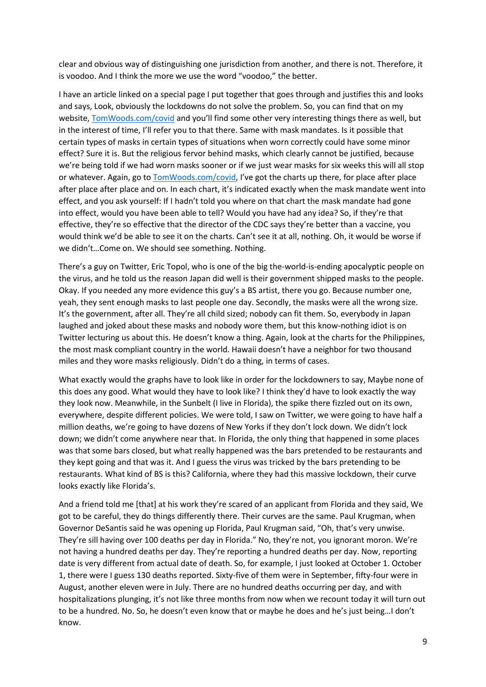clear and obvious way of distinguishing one jurisdiction from another, and there is not. Therefore, it is voodoo. And I think the more we use the word "voodoo," the better.

I have an article linked on a special page I put together that goes through and justifies this and looks and says, Look, obviously the lockdowns do not solve the problem. So, you can find that on my website, [TomWoods.com/covid](http://tomwoods.com/covid) and you'll find some other very interesting things there as well, but in the interest of time, I'll refer you to that there. Same with mask mandates. Is it possible that certain types of masks in certain types of situations when worn correctly could have some minor effect? Sure it is. But the religious fervor behind masks, which clearly cannot be justified, because we're being told if we had worn masks sooner or if we just wear masks for six weeks this will all stop or whatever. Again, go t[o TomWoods.com/covid](http://tomwoods.com/covid), I've got the charts up there, for place after place after place after place and on. In each chart, it's indicated exactly when the mask mandate went into effect, and you ask yourself: If I hadn't told you where on that chart the mask mandate had gone into effect, would you have been able to tell? Would you have had any idea? So, if they're that effective, they're so effective that the director of the CDC says they're better than a vaccine, you would think we'd be able to see it on the charts. Can't see it at all, nothing. Oh, it would be worse if we didn't…Come on. We should see something. Nothing.

There's a guy on Twitter, Eric Topol, who is one of the big the-world-is-ending apocalyptic people on the virus, and he told us the reason Japan did well is their government shipped masks to the people. Okay. If you needed any more evidence this guy's a BS artist, there you go. Because number one, yeah, they sent enough masks to last people one day. Secondly, the masks were all the wrong size. It's the government, after all. They're all child sized; nobody can fit them. So, everybody in Japan laughed and joked about these masks and nobody wore them, but this know-nothing idiot is on Twitter lecturing us about this. He doesn't know a thing. Again, look at the charts for the Philippines, the most mask compliant country in the world. Hawaii doesn't have a neighbor for two thousand miles and they wore masks religiously. Didn't do a thing, in terms of cases.

What exactly would the graphs have to look like in order for the lockdowners to say, Maybe none of this does any good. What would they have to look like? I think they'd have to look exactly the way they look now. Meanwhile, in the Sunbelt (I live in Florida), the spike there fizzled out on its own, everywhere, despite different policies. We were told, I saw on Twitter, we were going to have half a million deaths, we're going to have dozens of New Yorks if they don't lock down. We didn't lock down; we didn't come anywhere near that. In Florida, the only thing that happened in some places was that some bars closed, but what really happened was the bars pretended to be restaurants and they kept going and that was it. And I guess the virus was tricked by the bars pretending to be restaurants. What kind of BS is this? California, where they had this massive lockdown, their curve looks exactly like Florida's.

And a friend told me [that] at his work they're scared of an applicant from Florida and they said, We got to be careful, they do things differently there. Their curves are the same. Paul Krugman, when Governor DeSantis said he was opening up Florida, Paul Krugman said, "Oh, that's very unwise. They're sill having over 100 deaths per day in Florida." No, they're not, you ignorant moron. We're not having a hundred deaths per day. They're reporting a hundred deaths per day. Now, reporting date is very different from actual date of death. So, for example, I just looked at October 1. October 1, there were I guess 130 deaths reported. Sixty-five of them were in September, fifty-four were in August, another eleven were in July. There are no hundred deaths occurring per day, and with hospitalizations plunging, it's not like three months from now when we recount today it will turn out to be a hundred. No. So, he doesn't even know that or maybe he does and he's just being…I don't know.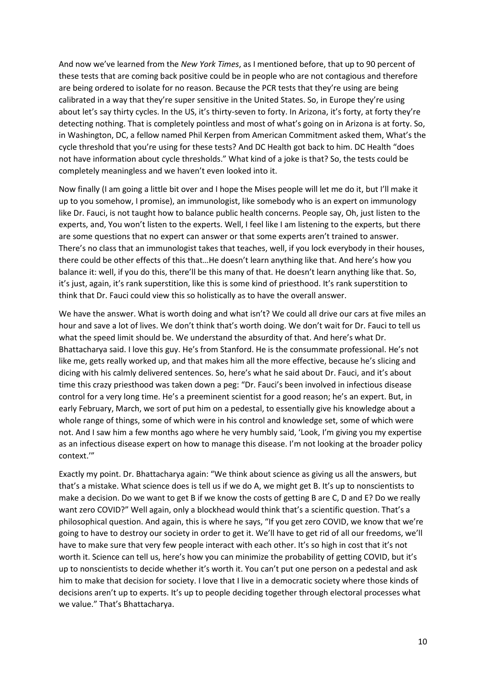And now we've learned from the *New York Times*, as I mentioned before, that up to 90 percent of these tests that are coming back positive could be in people who are not contagious and therefore are being ordered to isolate for no reason. Because the PCR tests that they're using are being calibrated in a way that they're super sensitive in the United States. So, in Europe they're using about let's say thirty cycles. In the US, it's thirty-seven to forty. In Arizona, it's forty, at forty they're detecting nothing. That is completely pointless and most of what's going on in Arizona is at forty. So, in Washington, DC, a fellow named Phil Kerpen from American Commitment asked them, What's the cycle threshold that you're using for these tests? And DC Health got back to him. DC Health "does not have information about cycle thresholds." What kind of a joke is that? So, the tests could be completely meaningless and we haven't even looked into it.

Now finally (I am going a little bit over and I hope the Mises people will let me do it, but I'll make it up to you somehow, I promise), an immunologist, like somebody who is an expert on immunology like Dr. Fauci, is not taught how to balance public health concerns. People say, Oh, just listen to the experts, and, You won't listen to the experts. Well, I feel like I am listening to the experts, but there are some questions that no expert can answer or that some experts aren't trained to answer. There's no class that an immunologist takes that teaches, well, if you lock everybody in their houses, there could be other effects of this that…He doesn't learn anything like that. And here's how you balance it: well, if you do this, there'll be this many of that. He doesn't learn anything like that. So, it's just, again, it's rank superstition, like this is some kind of priesthood. It's rank superstition to think that Dr. Fauci could view this so holistically as to have the overall answer.

We have the answer. What is worth doing and what isn't? We could all drive our cars at five miles an hour and save a lot of lives. We don't think that's worth doing. We don't wait for Dr. Fauci to tell us what the speed limit should be. We understand the absurdity of that. And here's what Dr. Bhattacharya said. I love this guy. He's from Stanford. He is the consummate professional. He's not like me, gets really worked up, and that makes him all the more effective, because he's slicing and dicing with his calmly delivered sentences. So, here's what he said about Dr. Fauci, and it's about time this crazy priesthood was taken down a peg: "Dr. Fauci's been involved in infectious disease control for a very long time. He's a preeminent scientist for a good reason; he's an expert. But, in early February, March, we sort of put him on a pedestal, to essentially give his knowledge about a whole range of things, some of which were in his control and knowledge set, some of which were not. And I saw him a few months ago where he very humbly said, 'Look, I'm giving you my expertise as an infectious disease expert on how to manage this disease. I'm not looking at the broader policy context.'"

Exactly my point. Dr. Bhattacharya again: "We think about science as giving us all the answers, but that's a mistake. What science does is tell us if we do A, we might get B. It's up to nonscientists to make a decision. Do we want to get B if we know the costs of getting B are C, D and E? Do we really want zero COVID?" Well again, only a blockhead would think that's a scientific question. That's a philosophical question. And again, this is where he says, "If you get zero COVID, we know that we're going to have to destroy our society in order to get it. We'll have to get rid of all our freedoms, we'll have to make sure that very few people interact with each other. It's so high in cost that it's not worth it. Science can tell us, here's how you can minimize the probability of getting COVID, but it's up to nonscientists to decide whether it's worth it. You can't put one person on a pedestal and ask him to make that decision for society. I love that I live in a democratic society where those kinds of decisions aren't up to experts. It's up to people deciding together through electoral processes what we value." That's Bhattacharya.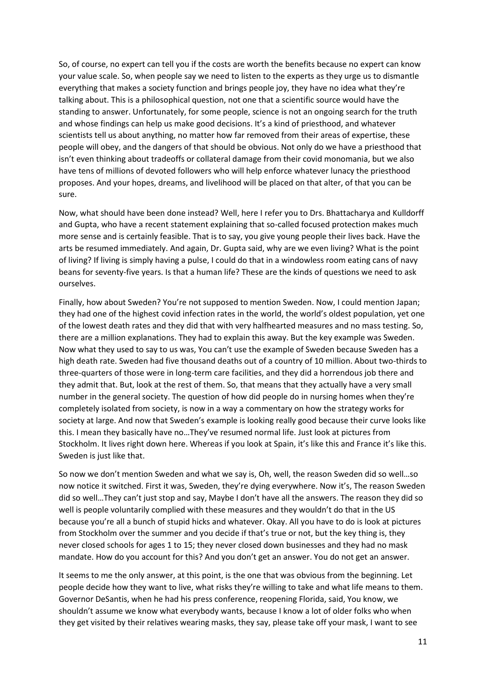So, of course, no expert can tell you if the costs are worth the benefits because no expert can know your value scale. So, when people say we need to listen to the experts as they urge us to dismantle everything that makes a society function and brings people joy, they have no idea what they're talking about. This is a philosophical question, not one that a scientific source would have the standing to answer. Unfortunately, for some people, science is not an ongoing search for the truth and whose findings can help us make good decisions. It's a kind of priesthood, and whatever scientists tell us about anything, no matter how far removed from their areas of expertise, these people will obey, and the dangers of that should be obvious. Not only do we have a priesthood that isn't even thinking about tradeoffs or collateral damage from their covid monomania, but we also have tens of millions of devoted followers who will help enforce whatever lunacy the priesthood proposes. And your hopes, dreams, and livelihood will be placed on that alter, of that you can be sure.

Now, what should have been done instead? Well, here I refer you to Drs. Bhattacharya and Kulldorff and Gupta, who have a recent statement explaining that so-called focused protection makes much more sense and is certainly feasible. That is to say, you give young people their lives back. Have the arts be resumed immediately. And again, Dr. Gupta said, why are we even living? What is the point of living? If living is simply having a pulse, I could do that in a windowless room eating cans of navy beans for seventy-five years. Is that a human life? These are the kinds of questions we need to ask ourselves.

Finally, how about Sweden? You're not supposed to mention Sweden. Now, I could mention Japan; they had one of the highest covid infection rates in the world, the world's oldest population, yet one of the lowest death rates and they did that with very halfhearted measures and no mass testing. So, there are a million explanations. They had to explain this away. But the key example was Sweden. Now what they used to say to us was, You can't use the example of Sweden because Sweden has a high death rate. Sweden had five thousand deaths out of a country of 10 million. About two-thirds to three-quarters of those were in long-term care facilities, and they did a horrendous job there and they admit that. But, look at the rest of them. So, that means that they actually have a very small number in the general society. The question of how did people do in nursing homes when they're completely isolated from society, is now in a way a commentary on how the strategy works for society at large. And now that Sweden's example is looking really good because their curve looks like this. I mean they basically have no…They've resumed normal life. Just look at pictures from Stockholm. It lives right down here. Whereas if you look at Spain, it's like this and France it's like this. Sweden is just like that.

So now we don't mention Sweden and what we say is, Oh, well, the reason Sweden did so well…so now notice it switched. First it was, Sweden, they're dying everywhere. Now it's, The reason Sweden did so well…They can't just stop and say, Maybe I don't have all the answers. The reason they did so well is people voluntarily complied with these measures and they wouldn't do that in the US because you're all a bunch of stupid hicks and whatever. Okay. All you have to do is look at pictures from Stockholm over the summer and you decide if that's true or not, but the key thing is, they never closed schools for ages 1 to 15; they never closed down businesses and they had no mask mandate. How do you account for this? And you don't get an answer. You do not get an answer.

It seems to me the only answer, at this point, is the one that was obvious from the beginning. Let people decide how they want to live, what risks they're willing to take and what life means to them. Governor DeSantis, when he had his press conference, reopening Florida, said, You know, we shouldn't assume we know what everybody wants, because I know a lot of older folks who when they get visited by their relatives wearing masks, they say, please take off your mask, I want to see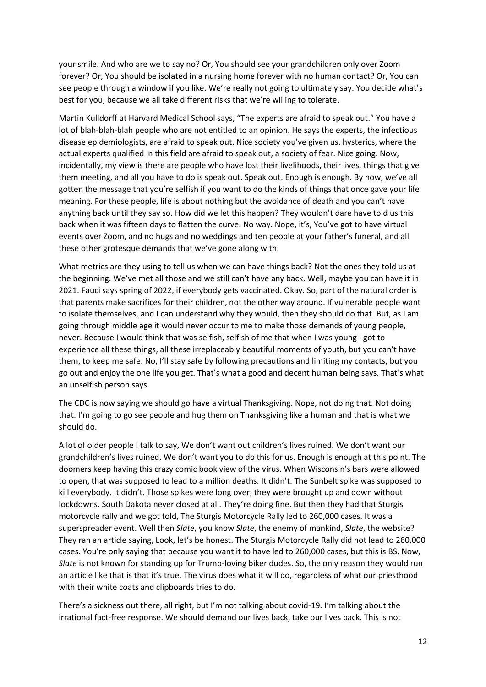your smile. And who are we to say no? Or, You should see your grandchildren only over Zoom forever? Or, You should be isolated in a nursing home forever with no human contact? Or, You can see people through a window if you like. We're really not going to ultimately say. You decide what's best for you, because we all take different risks that we're willing to tolerate.

Martin Kulldorff at Harvard Medical School says, "The experts are afraid to speak out." You have a lot of blah-blah-blah people who are not entitled to an opinion. He says the experts, the infectious disease epidemiologists, are afraid to speak out. Nice society you've given us, hysterics, where the actual experts qualified in this field are afraid to speak out, a society of fear. Nice going. Now, incidentally, my view is there are people who have lost their livelihoods, their lives, things that give them meeting, and all you have to do is speak out. Speak out. Enough is enough. By now, we've all gotten the message that you're selfish if you want to do the kinds of things that once gave your life meaning. For these people, life is about nothing but the avoidance of death and you can't have anything back until they say so. How did we let this happen? They wouldn't dare have told us this back when it was fifteen days to flatten the curve. No way. Nope, it's, You've got to have virtual events over Zoom, and no hugs and no weddings and ten people at your father's funeral, and all these other grotesque demands that we've gone along with.

What metrics are they using to tell us when we can have things back? Not the ones they told us at the beginning. We've met all those and we still can't have any back. Well, maybe you can have it in 2021. Fauci says spring of 2022, if everybody gets vaccinated. Okay. So, part of the natural order is that parents make sacrifices for their children, not the other way around. If vulnerable people want to isolate themselves, and I can understand why they would, then they should do that. But, as I am going through middle age it would never occur to me to make those demands of young people, never. Because I would think that was selfish, selfish of me that when I was young I got to experience all these things, all these irreplaceably beautiful moments of youth, but you can't have them, to keep me safe. No, I'll stay safe by following precautions and limiting my contacts, but you go out and enjoy the one life you get. That's what a good and decent human being says. That's what an unselfish person says.

The CDC is now saying we should go have a virtual Thanksgiving. Nope, not doing that. Not doing that. I'm going to go see people and hug them on Thanksgiving like a human and that is what we should do.

A lot of older people I talk to say, We don't want out children's lives ruined. We don't want our grandchildren's lives ruined. We don't want you to do this for us. Enough is enough at this point. The doomers keep having this crazy comic book view of the virus. When Wisconsin's bars were allowed to open, that was supposed to lead to a million deaths. It didn't. The Sunbelt spike was supposed to kill everybody. It didn't. Those spikes were long over; they were brought up and down without lockdowns. South Dakota never closed at all. They're doing fine. But then they had that Sturgis motorcycle rally and we got told, The Sturgis Motorcycle Rally led to 260,000 cases. It was a superspreader event. Well then *Slate*, you know *Slate*, the enemy of mankind, *Slate*, the website? They ran an article saying, Look, let's be honest. The Sturgis Motorcycle Rally did not lead to 260,000 cases. You're only saying that because you want it to have led to 260,000 cases, but this is BS. Now, *Slate* is not known for standing up for Trump-loving biker dudes. So, the only reason they would run an article like that is that it's true. The virus does what it will do, regardless of what our priesthood with their white coats and clipboards tries to do.

There's a sickness out there, all right, but I'm not talking about covid-19. I'm talking about the irrational fact-free response. We should demand our lives back, take our lives back. This is not